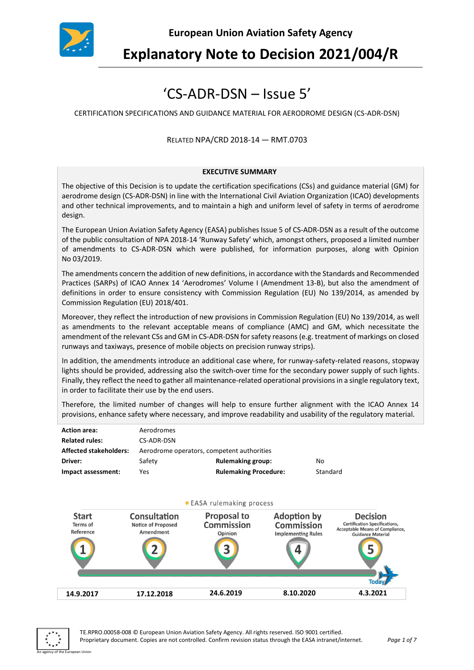

**European Union Aviation Safety Agency**

**Explanatory Note to Decision 2021/004/R**

# 'CS-ADR-DSN – Issue 5'

CERTIFICATION SPECIFICATIONS AND GUIDANCE MATERIAL FOR AERODROME DESIGN (CS-ADR-DSN)

#### RELATED NPA/CRD 2018-14 — RMT.0703

#### **EXECUTIVE SUMMARY**

The objective of this Decision is to update the certification specifications (CSs) and guidance material (GM) for aerodrome design (CS-ADR-DSN) in line with the International Civil Aviation Organization (ICAO) developments and other technical improvements, and to maintain a high and uniform level of safety in terms of aerodrome design.

The European Union Aviation Safety Agency (EASA) publishes Issue 5 of CS-ADR-DSN as a result of the outcome of the public consultation of NPA 2018-14 'Runway Safety' which, amongst others, proposed a limited number of amendments to CS-ADR-DSN which were published, for information purposes, along with Opinion No 03/2019.

The amendments concern the addition of new definitions, in accordance with the Standards and Recommended Practices (SARPs) of ICAO Annex 14 'Aerodromes' Volume I (Amendment 13-B), but also the amendment of definitions in order to ensure consistency with Commission Regulation (EU) No 139/2014, as amended by Commission Regulation (EU) 2018/401.

Moreover, they reflect the introduction of new provisions in Commission Regulation (EU) Νο 139/2014, as well as amendments to the relevant acceptable means of compliance (AMC) and GM, which necessitate the amendment of the relevant CSs and GM in CS-ADR-DSN for safety reasons (e.g. treatment of markings on closed runways and taxiways, presence of mobile objects on precision runway strips).

In addition, the amendments introduce an additional case where, for runway-safety-related reasons, stopway lights should be provided, addressing also the switch-over time for the secondary power supply of such lights. Finally, they reflect the need to gather all maintenance-related operational provisions in a single regulatory text, in order to facilitate their use by the end users.

Therefore, the limited number of changes will help to ensure further alignment with the ICAO Annex 14 provisions, enhance safety where necessary, and improve readability and usability of the regulatory material.

| <b>Action area:</b>           | Aerodromes                                 |                              |          |
|-------------------------------|--------------------------------------------|------------------------------|----------|
| <b>Related rules:</b>         | CS-ADR-DSN                                 |                              |          |
| <b>Affected stakeholders:</b> | Aerodrome operators, competent authorities |                              |          |
| Driver:                       | Safety                                     | <b>Rulemaking group:</b>     | No       |
| Impact assessment:            | Yes                                        | <b>Rulemaking Procedure:</b> | Standard |
|                               |                                            |                              |          |



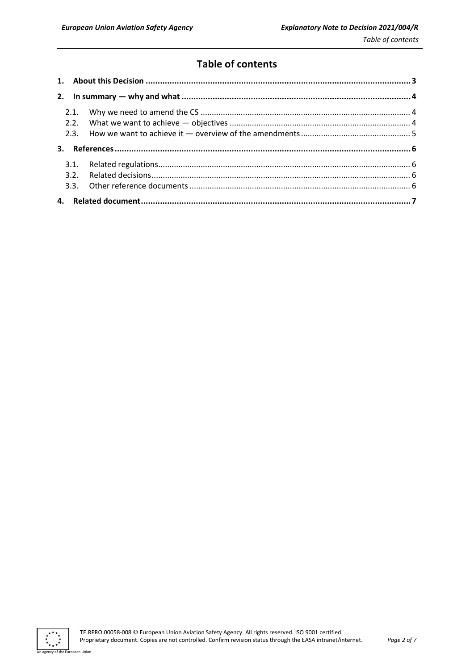# **Table of contents**

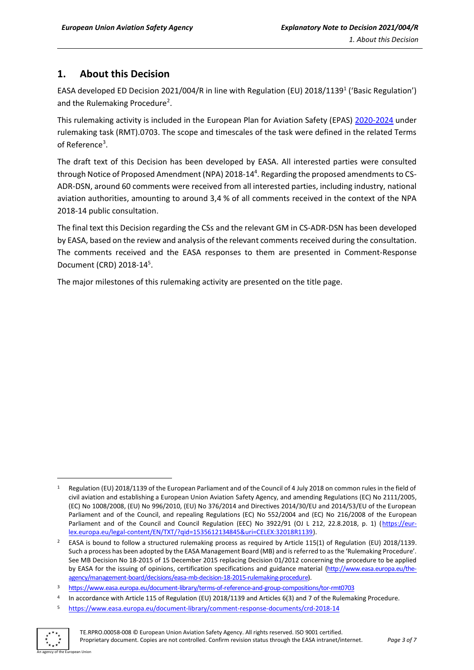## <span id="page-2-0"></span>**1. About this Decision**

EASA developed ED Decision 2021/004/R in line with Regulation (EU) 2018/1139<sup>1</sup> ('Basic Regulation') and the Rulemaking Procedure<sup>2</sup>.

This rulemaking activity is included in the European Plan for Aviation Safety (EPAS) [2020-2024](https://www.easa.europa.eu/sites/default/files/dfu/EPAS_2020-2024.pdf) under rulemaking task (RMT).0703. The scope and timescales of the task were defined in the related Terms of Reference<sup>3</sup>.

The draft text of this Decision has been developed by EASA. All interested parties were consulted through Notice of Proposed Amendment (NPA) 2018-14<sup>4</sup>. Regarding the proposed amendments to CS-ADR-DSN, around 60 comments were received from all interested parties, including industry, national aviation authorities, amounting to around 3,4 % of all comments received in the context of the NPA 2018-14 public consultation.

The final text this Decision regarding the CSs and the relevant GM in CS-ADR-DSN has been developed by EASA, based on the review and analysis of the relevant comments received during the consultation. The comments received and the EASA responses to them are presented in Comment-Response Document (CRD) 2018-14<sup>5</sup> .

The major milestones of this rulemaking activity are presented on the title page.

<sup>5</sup> <https://www.easa.europa.eu/document-library/comment-response-documents/crd-2018-14>



Regulation (EU) 2018/1139 of the European Parliament and of the Council of 4 July 2018 on common rules in the field of civil aviation and establishing a European Union Aviation Safety Agency, and amending Regulations (EC) No 2111/2005, (EC) No 1008/2008, (EU) No 996/2010, (EU) No 376/2014 and Directives 2014/30/EU and 2014/53/EU of the European Parliament and of the Council, and repealing Regulations (EC) No 552/2004 and (EC) No 216/2008 of the European Parliament and of the Council and Council Regulation (EEC) No 3922/91 (OJ L 212, 22.8.2018, p. 1) [\(https://eur](https://eur-lex.europa.eu/legal-content/EN/TXT/?qid=1535612134845&uri=CELEX:32018R1139)[lex.europa.eu/legal-content/EN/TXT/?qid=1535612134845&uri=CELEX:32018R1139\)](https://eur-lex.europa.eu/legal-content/EN/TXT/?qid=1535612134845&uri=CELEX:32018R1139).

<sup>&</sup>lt;sup>2</sup> EASA is bound to follow a structured rulemaking process as required by Article 115(1) of Regulation (EU) 2018/1139. Such a process has been adopted by the EASA Management Board (MB) and is referred to as the 'Rulemaking Procedure'. See MB Decision No 18-2015 of 15 December 2015 replacing Decision 01/2012 concerning the procedure to be applied by EASA for the issuing of opinions, certification specifications and guidance material [\(http://www.easa.europa.eu/the](http://www.easa.europa.eu/the-agency/management-board/decisions/easa-mb-decision-18-2015-rulemaking-procedure)[agency/management-board/decisions/easa-mb-decision-18-2015-rulemaking-procedure\)](http://www.easa.europa.eu/the-agency/management-board/decisions/easa-mb-decision-18-2015-rulemaking-procedure).

<sup>3</sup> <https://www.easa.europa.eu/document-library/terms-of-reference-and-group-compositions/tor-rmt0703>

<sup>4</sup> In accordance with Article 115 of Regulation (EU) 2018/1139 and Articles 6(3) and 7 of the Rulemaking Procedure.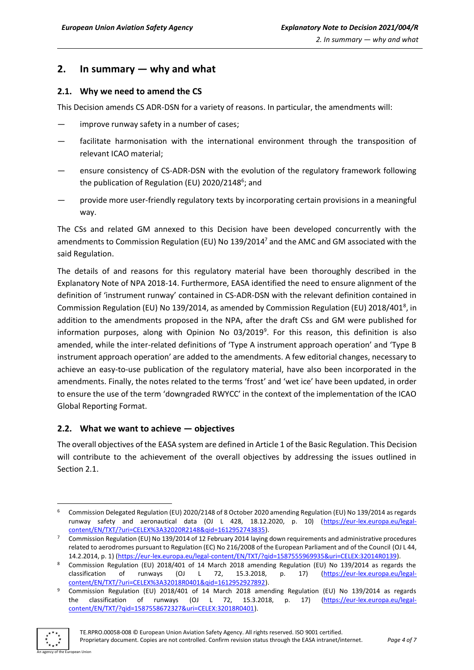## <span id="page-3-0"></span>**2. In summary — why and what**

#### <span id="page-3-1"></span>**2.1. Why we need to amend the CS**

This Decision amends CS ADR-DSN for a variety of reasons. In particular, the amendments will:

- improve runway safety in a number of cases;
- facilitate harmonisation with the international environment through the transposition of relevant ICAO material;
- ensure consistency of CS-ADR-DSN with the evolution of the regulatory framework following the publication of Regulation (EU) 2020/2148<sup>6</sup>; and
- provide more user-friendly regulatory texts by incorporating certain provisions in a meaningful way.

The CSs and related GM annexed to this Decision have been developed concurrently with the amendments to Commission Regulation (EU) No 139/2014<sup>7</sup> and the AMC and GM associated with the said Regulation.

The details of and reasons for this regulatory material have been thoroughly described in the Explanatory Note of NPA 2018-14. Furthermore, EASA identified the need to ensure alignment of the definition of 'instrument runway' contained in CS-ADR-DSN with the relevant definition contained in Commission Regulation (EU) No 139/2014, as amended by Commission Regulation (EU) 2018/401<sup>8</sup>, in addition to the amendments proposed in the NPA, after the draft CSs and GM were published for information purposes, along with Opinion No 03/2019<sup>9</sup>. For this reason, this definition is also amended, while the inter-related definitions of 'Type A instrument approach operation' and 'Type B instrument approach operation' are added to the amendments. A few editorial changes, necessary to achieve an easy-to-use publication of the regulatory material, have also been incorporated in the amendments. Finally, the notes related to the terms 'frost' and 'wet ice' have been updated, in order to ensure the use of the term 'downgraded RWYCC' in the context of the implementation of the ICAO Global Reporting Format.

#### <span id="page-3-2"></span>**2.2. What we want to achieve — objectives**

The overall objectives of the EASA system are defined in Article 1 of the Basic Regulation. This Decision will contribute to the achievement of the overall objectives by addressing the issues outlined in Section 2.1.

<sup>9</sup> Commission Regulation (EU) 2018/401 of 14 March 2018 amending Regulation (EU) No 139/2014 as regards the classification of runways (OJ L 72, 15.3.2018, p. 17) [\(https://eur-lex.europa.eu/legal](https://eur-lex.europa.eu/legal-content/EN/TXT/?qid=1587558672327&uri=CELEX:32018R0401)[content/EN/TXT/?qid=1587558672327&uri=CELEX:32018R0401\)](https://eur-lex.europa.eu/legal-content/EN/TXT/?qid=1587558672327&uri=CELEX:32018R0401).



<sup>6</sup> Commission Delegated Regulation (EU) 2020/2148 of 8 October 2020 amending Regulation (EU) No 139/2014 as regards runway safety and aeronautical data (OJ L 428, 18.12.2020, p. 10) [\(https://eur-lex.europa.eu/legal](https://eur-lex.europa.eu/legal-content/EN/TXT/?uri=CELEX%3A32020R2148&qid=1612952743835)[content/EN/TXT/?uri=CELEX%3A32020R2148&qid=1612952743835\)](https://eur-lex.europa.eu/legal-content/EN/TXT/?uri=CELEX%3A32020R2148&qid=1612952743835).

<sup>7</sup> Commission Regulation (EU) No 139/2014 of 12 February 2014 laying down requirements and administrative procedures related to aerodromes pursuant to Regulation (EC) No 216/2008 of the European Parliament and of the Council (OJ L 44, 14.2.2014, p. 1) [\(https://eur-lex.europa.eu/legal-content/EN/TXT/?qid=1587555969935&uri=CELEX:32014R0139\)](https://eur-lex.europa.eu/legal-content/EN/TXT/?qid=1587555969935&uri=CELEX:32014R0139).

<sup>8</sup> Commission Regulation (EU) 2018/401 of 14 March 2018 amending Regulation (EU) No 139/2014 as regards the classification of runways (OJ L 72, 15.3.2018, p. 17) [\(https://eur-lex.europa.eu/legal](https://eur-lex.europa.eu/legal-content/EN/TXT/?uri=CELEX%3A32018R0401&qid=1612952927892)[content/EN/TXT/?uri=CELEX%3A32018R0401&qid=1612952927892\)](https://eur-lex.europa.eu/legal-content/EN/TXT/?uri=CELEX%3A32018R0401&qid=1612952927892).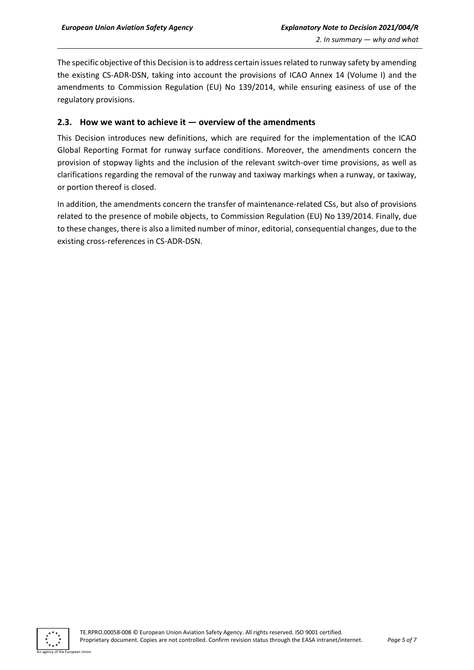The specific objective of this Decision is to address certain issues related to runway safety by amending the existing CS-ADR-DSN, taking into account the provisions of ICAO Annex 14 (Volume I) and the amendments to Commission Regulation (EU) No 139/2014, while ensuring easiness of use of the regulatory provisions.

#### <span id="page-4-0"></span>**2.3. How we want to achieve it — overview of the amendments**

This Decision introduces new definitions, which are required for the implementation of the ICAO Global Reporting Format for runway surface conditions. Moreover, the amendments concern the provision of stopway lights and the inclusion of the relevant switch-over time provisions, as well as clarifications regarding the removal of the runway and taxiway markings when a runway, or taxiway, or portion thereof is closed.

In addition, the amendments concern the transfer of maintenance-related CSs, but also of provisions related to the presence of mobile objects, to Commission Regulation (EU) No 139/2014. Finally, due to these changes, there is also a limited number of minor, editorial, consequential changes, due to the existing cross-references in CS-ADR-DSN.

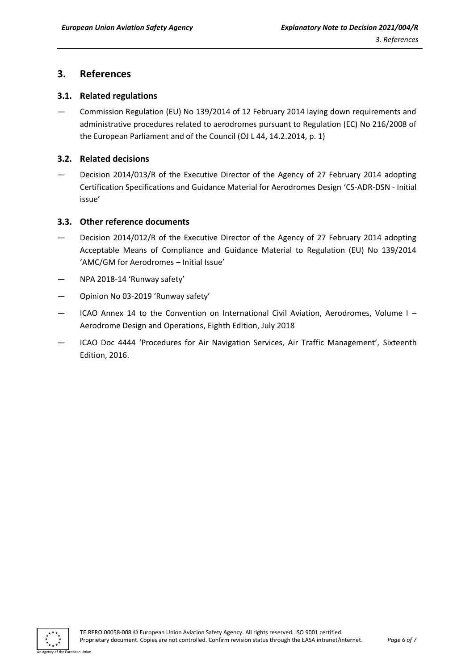### <span id="page-5-0"></span>**3. References**

#### <span id="page-5-1"></span>**3.1. Related regulations**

— Commission Regulation (EU) No 139/2014 of 12 February 2014 laying down requirements and administrative procedures related to aerodromes pursuant to Regulation (EC) No 216/2008 of the European Parliament and of the Council (OJ L 44, 14.2.2014, p. 1)

#### <span id="page-5-2"></span>**3.2. Related decisions**

— Decision 2014/013/R of the Executive Director of the Agency of 27 February 2014 adopting Certification Specifications and Guidance Material for Aerodromes Design 'CS-ADR-DSN - Initial issue'

#### <span id="page-5-3"></span>**3.3. Other reference documents**

- Decision 2014/012/R of the Executive Director of the Agency of 27 February 2014 adopting Acceptable Means of Compliance and Guidance Material to Regulation (EU) No 139/2014 'AMC/GM for Aerodromes – Initial Issue'
- NPA 2018-14 'Runway safety'
- Opinion No 03-2019 'Runway safety'
- ICAO Annex 14 to the Convention on International Civil Aviation, Aerodromes, Volume I Aerodrome Design and Operations, Eighth Edition, July 2018
- ICAO Doc 4444 'Procedures for Air Navigation Services, Air Traffic Management', Sixteenth Edition, 2016.